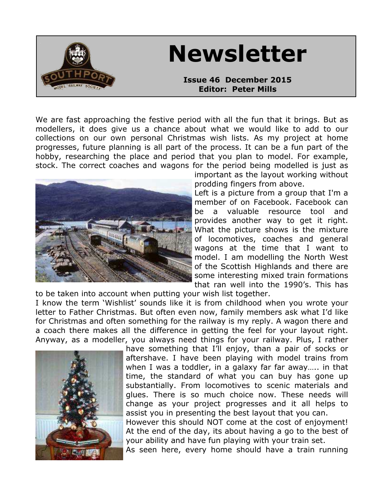

# **Newsletter**

#### **Issue 46 December 2015 Editor: Peter Mills**

We are fast approaching the festive period with all the fun that it brings. But as modellers, it does give us a chance about what we would like to add to our collections on our own personal Christmas wish lists. As my project at home progresses, future planning is all part of the process. It can be a fun part of the hobby, researching the place and period that you plan to model. For example, stock. The correct coaches and wagons for the period being modelled is just as



important as the layout working without prodding fingers from above.

Left is a picture from a group that I'm a member of on Facebook. Facebook can be a valuable resource tool and provides another way to get it right. What the picture shows is the mixture of locomotives, coaches and general wagons at the time that I want to model. I am modelling the North West of the Scottish Highlands and there are some interesting mixed train formations that ran well into the 1990's. This has

to be taken into account when putting your wish list together. I know the term 'Wishlist' sounds like it is from childhood when you wrote your letter to Father Christmas. But often even now, family members ask what I'd like for Christmas and often something for the railway is my reply. A wagon there and a coach there makes all the difference in getting the feel for your layout right. Anyway, as a modeller, you always need things for your railway. Plus, I rather



have something that I'll enjoy, than a pair of socks or aftershave. I have been playing with model trains from when I was a toddler, in a galaxy far far away….. in that time, the standard of what you can buy has gone up substantially. From locomotives to scenic materials and glues. There is so much choice now. These needs will change as your project progresses and it all helps to assist you in presenting the best layout that you can.

However this should NOT come at the cost of enjoyment! At the end of the day, its about having a go to the best of your ability and have fun playing with your train set.

As seen here, every home should have a train running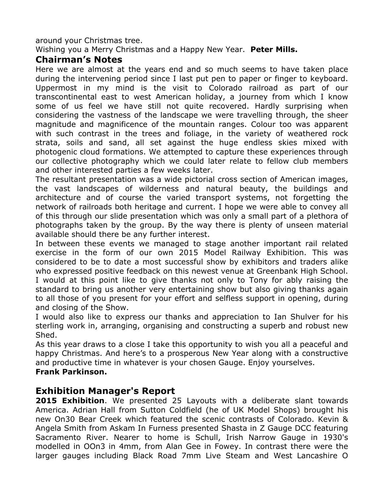around your Christmas tree.

Wishing you a Merry Christmas and a Happy New Year. **Peter Mills.**

## **Chairman's Notes**

Here we are almost at the years end and so much seems to have taken place during the intervening period since I last put pen to paper or finger to keyboard. Uppermost in my mind is the visit to Colorado railroad as part of our transcontinental east to west American holiday, a journey from which I know some of us feel we have still not quite recovered. Hardly surprising when considering the vastness of the landscape we were travelling through, the sheer magnitude and magnificence of the mountain ranges. Colour too was apparent with such contrast in the trees and foliage, in the variety of weathered rock strata, soils and sand, all set against the huge endless skies mixed with photogenic cloud formations. We attempted to capture these experiences through our collective photography which we could later relate to fellow club members and other interested parties a few weeks later.

The resultant presentation was a wide pictorial cross section of American images, the vast landscapes of wilderness and natural beauty, the buildings and architecture and of course the varied transport systems, not forgetting the network of railroads both heritage and current. I hope we were able to convey all of this through our slide presentation which was only a small part of a plethora of photographs taken by the group. By the way there is plenty of unseen material available should there be any further interest.

In between these events we managed to stage another important rail related exercise in the form of our own 2015 Model Railway Exhibition. This was considered to be to date a most successful show by exhibitors and traders alike who expressed positive feedback on this newest venue at Greenbank High School. I would at this point like to give thanks not only to Tony for ably raising the standard to bring us another very entertaining show but also giving thanks again to all those of you present for your effort and selfless support in opening, during and closing of the Show.

I would also like to express our thanks and appreciation to Ian Shulver for his sterling work in, arranging, organising and constructing a superb and robust new Shed.

As this year draws to a close I take this opportunity to wish you all a peaceful and happy Christmas. And here's to a prosperous New Year along with a constructive and productive time in whatever is your chosen Gauge. Enjoy yourselves.

# **Frank Parkinson.**

# **Exhibition Manager's Report**

**2015 Exhibition**. We presented 25 Layouts with a deliberate slant towards America. Adrian Hall from Sutton Coldfield (he of UK Model Shops) brought his new On30 Bear Creek which featured the scenic contrasts of Colorado. Kevin & Angela Smith from Askam In Furness presented Shasta in Z Gauge DCC featuring Sacramento River. Nearer to home is Schull, Irish Narrow Gauge in 1930's modelled in OOn3 in 4mm, from Alan Gee in Fowey. In contrast there were the larger gauges including Black Road 7mm Live Steam and West Lancashire O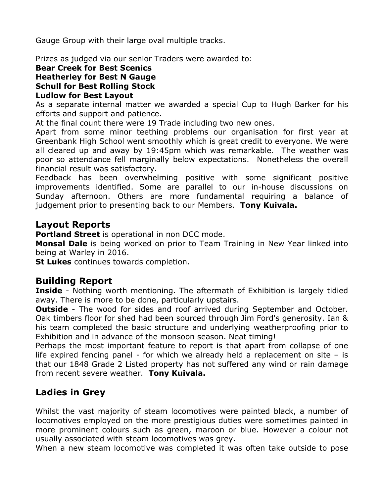Gauge Group with their large oval multiple tracks.

Prizes as judged via our senior Traders were awarded to:

# **Bear Creek for Best Scenics Heatherley for Best N Gauge Schull for Best Rolling Stock**

#### **Ludlow for Best Layout**

As a separate internal matter we awarded a special Cup to Hugh Barker for his efforts and support and patience.

At the final count there were 19 Trade including two new ones.

Apart from some minor teething problems our organisation for first year at Greenbank High School went smoothly which is great credit to everyone. We were all cleared up and away by 19:45pm which was remarkable. The weather was poor so attendance fell marginally below expectations. Nonetheless the overall financial result was satisfactory.

Feedback has been overwhelming positive with some significant positive improvements identified. Some are parallel to our in-house discussions on Sunday afternoon. Others are more fundamental requiring a balance of judgement prior to presenting back to our Members. **Tony Kuivala.**

# **Layout Reports**

**Portland Street** is operational in non DCC mode.

**Monsal Dale** is being worked on prior to Team Training in New Year linked into being at Warley in 2016.

**St Lukes** continues towards completion.

# **Building Report**

**Inside** - Nothing worth mentioning. The aftermath of Exhibition is largely tidied away. There is more to be done, particularly upstairs.

**Outside** - The wood for sides and roof arrived during September and October. Oak timbers floor for shed had been sourced through Jim Ford's generosity. Ian & his team completed the basic structure and underlying weatherproofing prior to Exhibition and in advance of the monsoon season. Neat timing!

Perhaps the most important feature to report is that apart from collapse of one life expired fencing panel - for which we already held a replacement on site – is that our 1848 Grade 2 Listed property has not suffered any wind or rain damage from recent severe weather. **Tony Kuivala.**

# **Ladies in Grey**

Whilst the vast majority of steam locomotives were painted black, a number of locomotives employed on the more prestigious duties were sometimes painted in more prominent colours such as green, maroon or blue. However a colour not usually associated with steam locomotives was grey.

When a new steam locomotive was completed it was often take outside to pose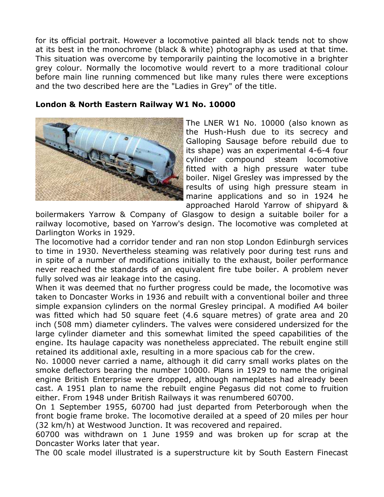for its official portrait. However a locomotive painted all black tends not to show at its best in the monochrome (black & white) photography as used at that time. This situation was overcome by temporarily painting the locomotive in a brighter grey colour. Normally the locomotive would revert to a more traditional colour before main line running commenced but like many rules there were exceptions and the two described here are the "Ladies in Grey" of the title.

#### **London & North Eastern Railway W1 No. 10000**



The LNER W1 No. 10000 (also known as the Hush-Hush due to its secrecy and Galloping Sausage before rebuild due to its shape) was an experimental 4-6-4 four cylinder compound steam locomotive fitted with a high pressure water tube boiler. Nigel Gresley was impressed by the results of using high pressure steam in marine applications and so in 1924 he approached Harold Yarrow of shipyard &

boilermakers Yarrow & Company of Glasgow to design a suitable boiler for a railway locomotive, based on Yarrow's design. The locomotive was completed at Darlington Works in 1929.

The locomotive had a corridor tender and ran non stop London Edinburgh services to time in 1930. Nevertheless steaming was relatively poor during test runs and in spite of a number of modifications initially to the exhaust, boiler performance never reached the standards of an equivalent fire tube boiler. A problem never fully solved was air leakage into the casing.

When it was deemed that no further progress could be made, the locomotive was taken to Doncaster Works in 1936 and rebuilt with a conventional boiler and three simple expansion cylinders on the normal Gresley principal. A modified A4 boiler was fitted which had 50 square feet (4.6 square metres) of grate area and 20 inch (508 mm) diameter cylinders. The valves were considered undersized for the large cylinder diameter and this somewhat limited the speed capabilities of the engine. Its haulage capacity was nonetheless appreciated. The rebuilt engine still retained its additional axle, resulting in a more spacious cab for the crew.

No. 10000 never carried a name, although it did carry small works plates on the smoke deflectors bearing the number 10000. Plans in 1929 to name the original engine British Enterprise were dropped, although nameplates had already been cast. A 1951 plan to name the rebuilt engine Pegasus did not come to fruition either. From 1948 under British Railways it was renumbered 60700.

On 1 September 1955, 60700 had just departed from Peterborough when the front bogie frame broke. The locomotive derailed at a speed of 20 miles per hour (32 km/h) at Westwood Junction. It was recovered and repaired.

60700 was withdrawn on 1 June 1959 and was broken up for scrap at the Doncaster Works later that year.

The 00 scale model illustrated is a superstructure kit by South Eastern Finecast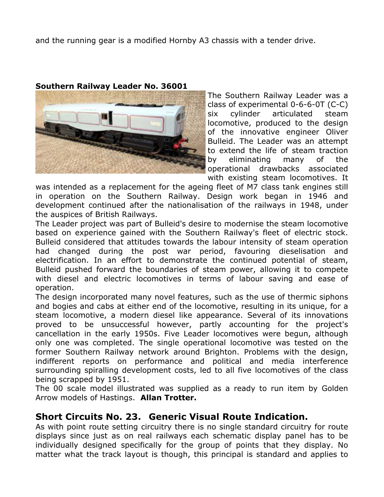and the running gear is a modified Hornby A3 chassis with a tender drive.

#### **Southern Railway Leader No. 36001**



The Southern Railway Leader was a class of experimental 0-6-6-0T (C-C) six cylinder articulated steam locomotive, produced to the design of the innovative engineer Oliver Bulleid. The Leader was an attempt to extend the life of steam traction by eliminating many of the operational drawbacks associated with existing steam locomotives. It

was intended as a replacement for the ageing fleet of M7 class tank engines still in operation on the Southern Railway. Design work began in 1946 and development continued after the nationalisation of the railways in 1948, under the auspices of British Railways.

The Leader project was part of Bulleid's desire to modernise the steam locomotive based on experience gained with the Southern Railway's fleet of electric stock. Bulleid considered that attitudes towards the labour intensity of steam operation had changed during the post war period, favouring dieselisation and electrification. In an effort to demonstrate the continued potential of steam, Bulleid pushed forward the boundaries of steam power, allowing it to compete with diesel and electric locomotives in terms of labour saving and ease of operation.

The design incorporated many novel features, such as the use of thermic siphons and bogies and cabs at either end of the locomotive, resulting in its unique, for a steam locomotive, a modern diesel like appearance. Several of its innovations proved to be unsuccessful however, partly accounting for the project's cancellation in the early 1950s. Five Leader locomotives were begun, although only one was completed. The single operational locomotive was tested on the former Southern Railway network around Brighton. Problems with the design, indifferent reports on performance and political and media interference surrounding spiralling development costs, led to all five locomotives of the class being scrapped by 1951.

The 00 scale model illustrated was supplied as a ready to run item by Golden Arrow models of Hastings. **Allan Trotter.**

# **Short Circuits No. 23. Generic Visual Route Indication.**

As with point route setting circuitry there is no single standard circuitry for route displays since just as on real railways each schematic display panel has to be individually designed specifically for the group of points that they display. No matter what the track layout is though, this principal is standard and applies to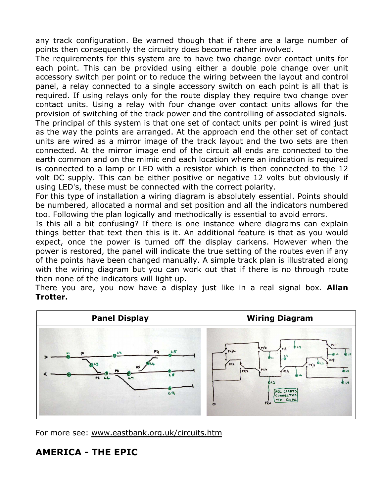any track configuration. Be warned though that if there are a large number of points then consequently the circuitry does become rather involved.

The requirements for this system are to have two change over contact units for each point. This can be provided using either a double pole change over unit accessory switch per point or to reduce the wiring between the layout and control panel, a relay connected to a single accessory switch on each point is all that is required. If using relays only for the route display they require two change over contact units. Using a relay with four change over contact units allows for the provision of switching of the track power and the controlling of associated signals.

The principal of this system is that one set of contact units per point is wired just as the way the points are arranged. At the approach end the other set of contact units are wired as a mirror image of the track layout and the two sets are then connected. At the mirror image end of the circuit all ends are connected to the earth common and on the mimic end each location where an indication is required is connected to a lamp or LED with a resistor which is then connected to the 12 volt DC supply. This can be either positive or negative 12 volts but obviously if using LED's, these must be connected with the correct polarity.

For this type of installation a wiring diagram is absolutely essential. Points should be numbered, allocated a normal and set position and all the indicators numbered too. Following the plan logically and methodically is essential to avoid errors.

Is this all a bit confusing? If there is one instance where diagrams can explain things better that text then this is it. An additional feature is that as you would expect, once the power is turned off the display darkens. However when the power is restored, the panel will indicate the true setting of the routes even if any of the points have been changed manually. A simple track plan is illustrated along with the wiring diagram but you can work out that if there is no through route then none of the indicators will light up.

There you are, you now have a display just like in a real signal box. **Allan Trotter.**



For more see: www.eastbank.org.uk/circuits.htm

# **AMERICA - THE EPIC**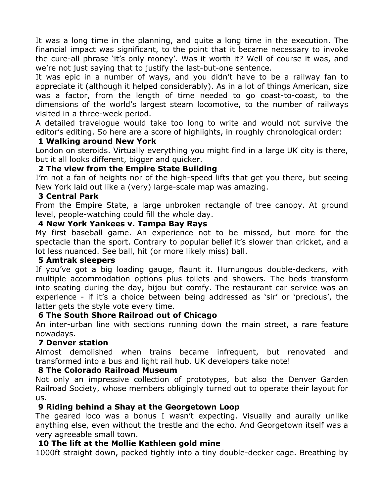It was a long time in the planning, and quite a long time in the execution. The financial impact was significant, to the point that it became necessary to invoke the cure-all phrase 'it's only money'. Was it worth it? Well of course it was, and we're not just saying that to justify the last-but-one sentence.

It was epic in a number of ways, and you didn't have to be a railway fan to appreciate it (although it helped considerably). As in a lot of things American, size was a factor, from the length of time needed to go coast-to-coast, to the dimensions of the world's largest steam locomotive, to the number of railways visited in a three-week period.

A detailed travelogue would take too long to write and would not survive the editor's editing. So here are a score of highlights, in roughly chronological order:

#### **1 Walking around New York**

London on steroids. Virtually everything you might find in a large UK city is there, but it all looks different, bigger and quicker.

#### **2 The view from the Empire State Building**

I'm not a fan of heights nor of the high-speed lifts that get you there, but seeing New York laid out like a (very) large-scale map was amazing.

#### **3 Central Park**

From the Empire State, a large unbroken rectangle of tree canopy. At ground level, people-watching could fill the whole day.

#### **4 New York Yankees v. Tampa Bay Rays**

My first baseball game. An experience not to be missed, but more for the spectacle than the sport. Contrary to popular belief it's slower than cricket, and a lot less nuanced. See ball, hit (or more likely miss) ball.

#### **5 Amtrak sleepers**

If you've got a big loading gauge, flaunt it. Humungous double-deckers, with multiple accommodation options plus toilets and showers. The beds transform into seating during the day, bijou but comfy. The restaurant car service was an experience - if it's a choice between being addressed as 'sir' or 'precious', the latter gets the style vote every time.

#### **6 The South Shore Railroad out of Chicago**

An inter-urban line with sections running down the main street, a rare feature nowadays.

#### **7 Denver station**

Almost demolished when trains became infrequent, but renovated and transformed into a bus and light rail hub. UK developers take note!

#### **8 The Colorado Railroad Museum**

Not only an impressive collection of prototypes, but also the Denver Garden Railroad Society, whose members obligingly turned out to operate their layout for us.

#### **9 Riding behind a Shay at the Georgetown Loop**

The geared loco was a bonus I wasn't expecting. Visually and aurally unlike anything else, even without the trestle and the echo. And Georgetown itself was a very agreeable small town.

#### **10 The lift at the Mollie Kathleen gold mine**

1000ft straight down, packed tightly into a tiny double-decker cage. Breathing by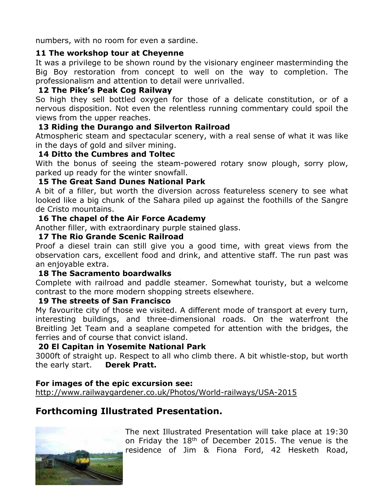numbers, with no room for even a sardine.

#### **11 The workshop tour at Cheyenne**

It was a privilege to be shown round by the visionary engineer masterminding the Big Boy restoration from concept to well on the way to completion. The professionalism and attention to detail were unrivalled.

## **12 The Pike's Peak Cog Railway**

So high they sell bottled oxygen for those of a delicate constitution, or of a nervous disposition. Not even the relentless running commentary could spoil the views from the upper reaches.

## **13 Riding the Durango and Silverton Railroad**

Atmospheric steam and spectacular scenery, with a real sense of what it was like in the days of gold and silver mining.

## **14 Ditto the Cumbres and Toltec**

With the bonus of seeing the steam-powered rotary snow plough, sorry plow, parked up ready for the winter snowfall.

## **15 The Great Sand Dunes National Park**

A bit of a filler, but worth the diversion across featureless scenery to see what looked like a big chunk of the Sahara piled up against the foothills of the Sangre de Cristo mountains.

#### **16 The chapel of the Air Force Academy**

Another filler, with extraordinary purple stained glass.

#### **17 The Rio Grande Scenic Railroad**

Proof a diesel train can still give you a good time, with great views from the observation cars, excellent food and drink, and attentive staff. The run past was an enjoyable extra.

## **18 The Sacramento boardwalks**

Complete with railroad and paddle steamer. Somewhat touristy, but a welcome contrast to the more modern shopping streets elsewhere.

## **19 The streets of San Francisco**

My favourite city of those we visited. A different mode of transport at every turn, interesting buildings, and three-dimensional roads. On the waterfront the Breitling Jet Team and a seaplane competed for attention with the bridges, the ferries and of course that convict island.

## **20 El Capitan in Yosemite National Park**

3000ft of straight up. Respect to all who climb there. A bit whistle-stop, but worth the early start. **Derek Pratt.**

## **For images of the epic excursion see:**

<http://www.railwaygardener.co.uk/Photos/World-railways/USA-2015>

# **Forthcoming Illustrated Presentation.**



The next Illustrated Presentation will take place at 19:30 on Friday the 18th of December 2015. The venue is the residence of Jim & Fiona Ford, 42 Hesketh Road,